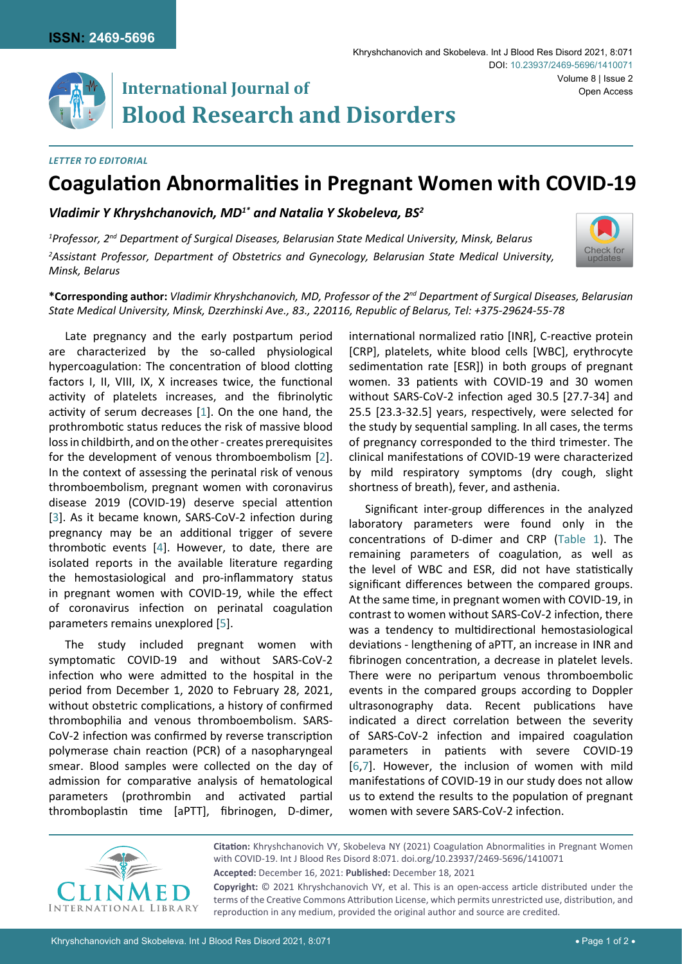

# **International Journal of Blood Research and Disorders**

### *Letter to Editorial*

## **Coagulation Abnormalities in Pregnant Women with COVID-19**

*Vladimir Y Khryshchanovich, MD1\* and Natalia Y Skobeleva, BS2*

*1 Professor, 2nd Department of Surgical Diseases, Belarusian State Medical University, Minsk, Belarus 2 Assistant Professor, Department of Obstetrics and Gynecology, Belarusian State Medical University, Minsk, Belarus*



**\*Corresponding author:** *Vladimir Khryshchanovich, MD, Professor of the 2nd Department of Surgical Diseases, Belarusian State Medical University, Minsk, Dzerzhinski Ave., 83., 220116, Republic of Belarus, Tel: +375-29624-55-78*

Late pregnancy and the early postpartum period are characterized by the so-called physiological hypercoagulation: The concentration of blood clotting factors I, II, VIII, IX, X increases twice, the functional activity of platelets increases, and the fibrinolytic activity of serum decreases [[1](#page-1-3)]. On the one hand, the prothrombotic status reduces the risk of massive blood loss in childbirth, and on the other - creates prerequisites for the development of venous thromboembolism [[2](#page-1-4)]. In the context of assessing the perinatal risk of venous thromboembolism, pregnant women with coronavirus disease 2019 (COVID-19) deserve special attention [[3](#page-1-5)]. As it became known, SARS-CoV-2 infection during pregnancy may be an additional trigger of severe thrombotic events [[4](#page-1-6)]. However, to date, there are isolated reports in the available literature regarding the hemostasiological and pro-inflammatory status in pregnant women with COVID-19, while the effect of coronavirus infection on perinatal coagulation parameters remains unexplored [\[5\]](#page-1-7).

The study included pregnant women with symptomatic COVID-19 and without SARS-CoV-2 infection who were admitted to the hospital in the period from December 1, 2020 to February 28, 2021, without obstetric complications, a history of confirmed thrombophilia and venous thromboembolism. SARS-CoV-2 infection was confirmed by reverse transcription polymerase chain reaction (PCR) of a nasopharyngeal smear. Blood samples were collected on the day of admission for comparative analysis of hematological parameters (prothrombin and activated partial thromboplastin time [aPTT], fibrinogen, D-dimer,

international normalized ratio [INR], C-reactive protein [CRP], platelets, white blood cells [WBC], erythrocyte sedimentation rate [ESR]) in both groups of pregnant women. 33 patients with COVID-19 and 30 women without SARS-CoV-2 infection aged 30.5 [27.7-34] and 25.5 [23.3-32.5] years, respectively, were selected for the study by sequential sampling. In all cases, the terms of pregnancy corresponded to the third trimester. The clinical manifestations of COVID-19 were characterized by mild respiratory symptoms (dry cough, slight shortness of breath), fever, and asthenia.

Significant inter-group differences in the analyzed laboratory parameters were found only in the concentrations of D-dimer and CRP [\(Table 1\)](#page-1-0). The remaining parameters of coagulation, as well as the level of WBC and ESR, did not have statistically significant differences between the compared groups. At the same time, in pregnant women with COVID-19, in contrast to women without SARS-CoV-2 infection, there was a tendency to multidirectional hemostasiological deviations - lengthening of aPTT, an increase in INR and fibrinogen concentration, a decrease in platelet levels. There were no peripartum venous thromboemboliс events in the compared groups according to Doppler ultrasonography data. Recent publications have indicated a direct correlation between the severity of SARS-CoV-2 infection and impaired coagulation parameters in patients with severe COVID-19 [\[6](#page-1-1),[7\]](#page-1-2). However, the inclusion of women with mild manifestations of COVID-19 in our study does not allow us to extend the results to the population of pregnant women with severe SARS-CoV-2 infection.



**Citation:** Khryshchanovich VY, Skobeleva NY (2021) Coagulation Abnormalities in Pregnant Women with COVID-19. Int J Blood Res Disord 8:071. [doi.org/10.23937/2469-5696/1410071](https://doi.org/10.23937/2469-5696/1410071) **Accepted:** December 16, 2021: **Published:** December 18, 2021

**Copyright:** © 2021 Khryshchanovich VY, et al. This is an open-access article distributed under the terms of the Creative Commons Attribution License, which permits unrestricted use, distribution, and reproduction in any medium, provided the original author and source are credited.